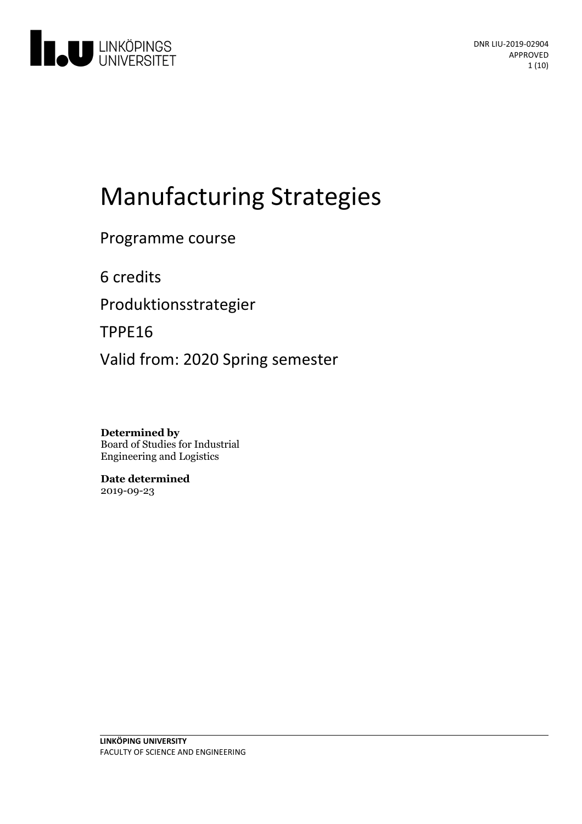

# Manufacturing Strategies

Programme course

6 credits

Produktionsstrategier

TPPE16

Valid from: 2020 Spring semester

**Determined by** Board of Studies for Industrial Engineering and Logistics

**Date determined** 2019-09-23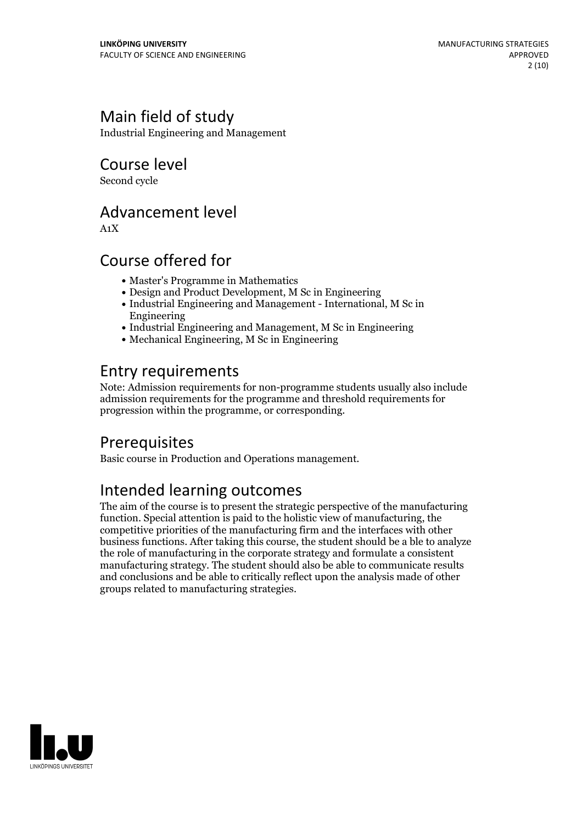# Main field of study

Industrial Engineering and Management

Course level

Second cycle

# Advancement level

A1X

# Course offered for

- Master's Programme in Mathematics
- Design and Product Development, M Sc in Engineering
- Industrial Engineering and Management International, M Sc in Engineering
- Industrial Engineering and Management, M Sc in Engineering
- Mechanical Engineering, M Sc in Engineering

# Entry requirements

Note: Admission requirements for non-programme students usually also include admission requirements for the programme and threshold requirements for progression within the programme, or corresponding.

# Prerequisites

Basic course in Production and Operations management.

# Intended learning outcomes

The aim of the course is to present the strategic perspective of the manufacturing function. Special attention is paid to the holistic view of manufacturing, the competitive priorities of the manufacturing firm and the interfaces with other business functions. After taking this course, the student should be a ble to analyze the role of manufacturing in the corporate strategy and formulate a consistent manufacturing strategy. The student should also be able to communicate results and conclusions and be able to critically reflect upon the analysis made of other groups related to manufacturing strategies.

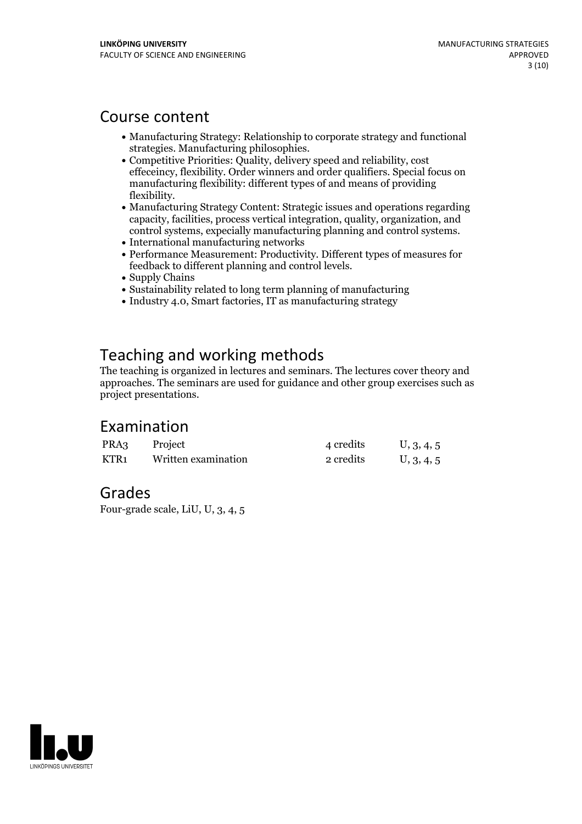## Course content

- Manufacturing Strategy: Relationship to corporate strategy and functional
- Competitive Priorities: Quality, delivery speed and reliability, cost effeceincy, flexibility. Order winners and order qualifiers. Special focus on manufacturing flexibility: different types of and means of providing
- flexibility.<br>• Manufacturing Strategy Content: Strategic issues and operations regarding capacity, facilities, process vertical integration, quality, organization, and control systems, expecially manufacturing planning and control systems. International manufacturing networks
- 
- Performance Measurement: Productivity. Different types of measures for feedback to different planning and control levels.<br>• Supply Chains
- 
- Sustainability related to long term planning of manufacturing
- Industry 4.0, Smart factories, IT as manufacturing strategy

# Teaching and working methods

The teaching is organized in lectures and seminars. The lectures cover theory and approaches. The seminars are used for guidance and other group exercises such as project presentations.

# Examination

| PRA3 | Project             | 4 credits | U, 3, 4, 5 |
|------|---------------------|-----------|------------|
| KTR1 | Written examination | 2 credits | U, 3, 4, 5 |

### Grades

Four-grade scale, LiU, U, 3, 4, 5

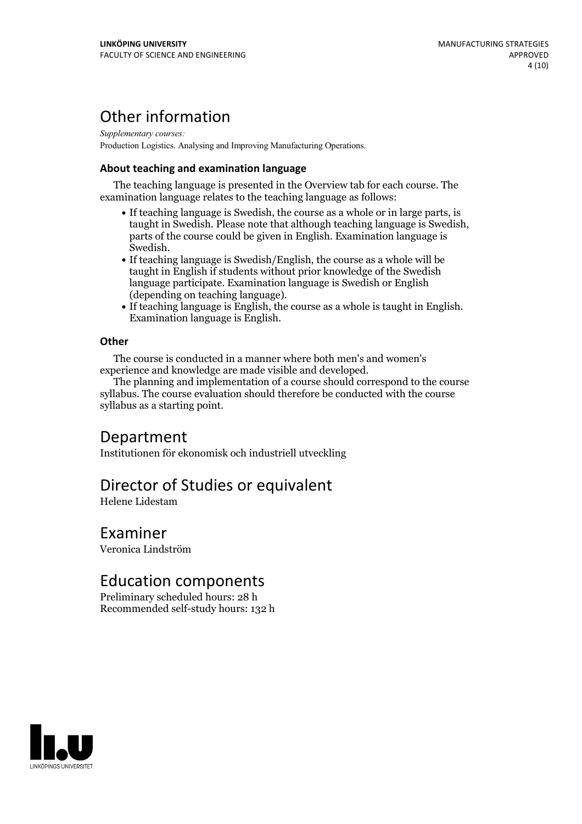# Other information

*Supplementary courses:* Production Logistics. Analysing and Improving Manufacturing Operations.

### **About teaching and examination language**

The teaching language is presented in the Overview tab for each course. The examination language relates to the teaching language as follows:

- If teaching language is Swedish, the course as a whole or in large parts, is taught in Swedish. Please note that although teaching language is Swedish, parts of the course could be given in English. Examination language is Swedish.<br>• If teaching language is Swedish/English, the course as a whole will be
- taught in English if students without prior knowledge of the Swedish language participate. Examination language is Swedish or English
- If teaching language is English, the course as a whole is taught in English. Examination language is English.

#### **Other**

The course is conducted in a manner where both men's and women's

The planning and implementation of a course should correspond to the course syllabus. The course evaluation should therefore be conducted with the course syllabus as a starting point.

### Department

Institutionen för ekonomisk och industriell utveckling

# Director of Studies or equivalent

Helene Lidestam

### Examiner

Veronica Lindström

### Education components

Preliminary scheduled hours: 28 h Recommended self-study hours: 132 h

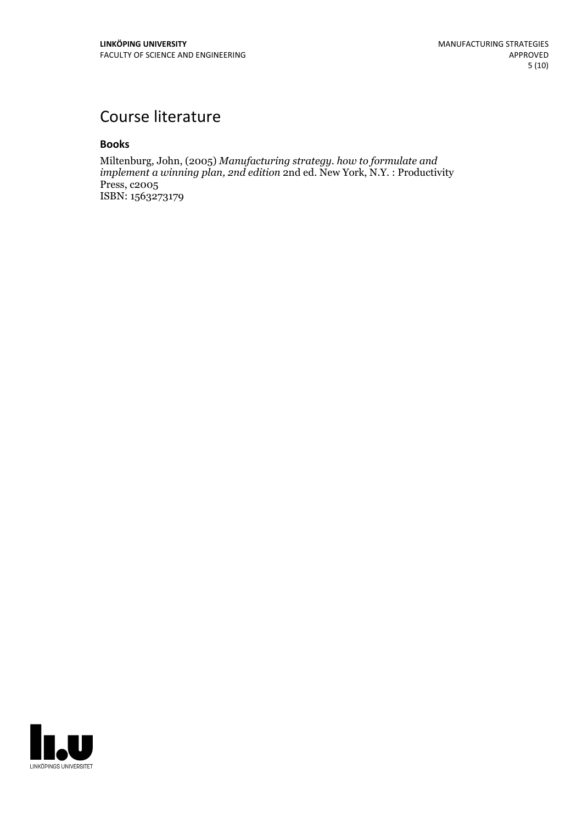# Course literature

#### **Books**

Miltenburg, John, (2005) *Manufacturing strategy. how to formulate and implement a winning plan, 2nd edition* 2nd ed. New York, N.Y. : Productivity Press, c2005 ISBN: 1563273179

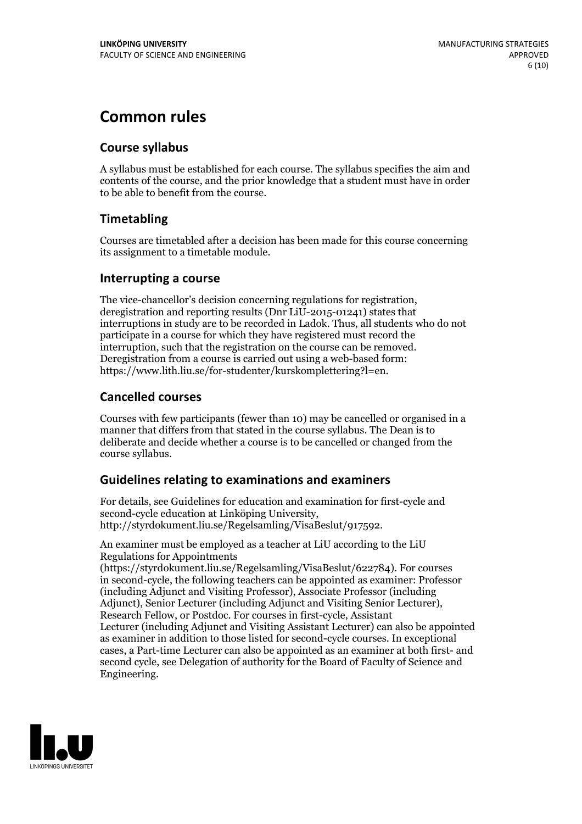# **Common rules**

### **Course syllabus**

A syllabus must be established for each course. The syllabus specifies the aim and contents of the course, and the prior knowledge that a student must have in order to be able to benefit from the course.

### **Timetabling**

Courses are timetabled after a decision has been made for this course concerning its assignment to a timetable module.

### **Interrupting a course**

The vice-chancellor's decision concerning regulations for registration, deregistration and reporting results (Dnr LiU-2015-01241) states that interruptions in study are to be recorded in Ladok. Thus, all students who do not participate in a course for which they have registered must record the interruption, such that the registration on the course can be removed. Deregistration from <sup>a</sup> course is carried outusing <sup>a</sup> web-based form: https://www.lith.liu.se/for-studenter/kurskomplettering?l=en.

### **Cancelled courses**

Courses with few participants (fewer than 10) may be cancelled or organised in a manner that differs from that stated in the course syllabus. The Dean is to deliberate and decide whether a course is to be cancelled or changed from the course syllabus.

### **Guidelines relatingto examinations and examiners**

For details, see Guidelines for education and examination for first-cycle and second-cycle education at Linköping University, http://styrdokument.liu.se/Regelsamling/VisaBeslut/917592.

An examiner must be employed as a teacher at LiU according to the LiU Regulations for Appointments

(https://styrdokument.liu.se/Regelsamling/VisaBeslut/622784). For courses in second-cycle, the following teachers can be appointed as examiner: Professor (including Adjunct and Visiting Professor), Associate Professor (including Adjunct), Senior Lecturer (including Adjunct and Visiting Senior Lecturer), Research Fellow, or Postdoc. For courses in first-cycle, Assistant Lecturer (including Adjunct and Visiting Assistant Lecturer) can also be appointed as examiner in addition to those listed for second-cycle courses. In exceptional cases, a Part-time Lecturer can also be appointed as an examiner at both first- and second cycle, see Delegation of authority for the Board of Faculty of Science and Engineering.

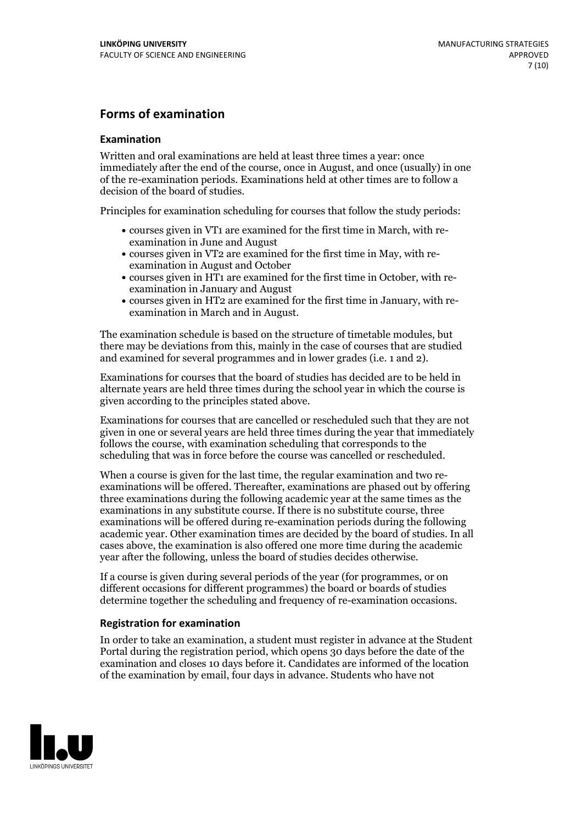### **Forms of examination**

#### **Examination**

Written and oral examinations are held at least three times a year: once immediately after the end of the course, once in August, and once (usually) in one of the re-examination periods. Examinations held at other times are to follow a decision of the board of studies.

Principles for examination scheduling for courses that follow the study periods:

- courses given in VT1 are examined for the first time in March, with re-examination in June and August
- courses given in VT2 are examined for the first time in May, with re-examination in August and October
- courses given in HT1 are examined for the first time in October, with re-examination in January and August
- courses given in HT2 are examined for the first time in January, with re-examination in March and in August.

The examination schedule is based on the structure of timetable modules, but there may be deviations from this, mainly in the case of courses that are studied and examined for several programmes and in lower grades (i.e. 1 and 2).

Examinations for courses that the board of studies has decided are to be held in alternate years are held three times during the school year in which the course is given according to the principles stated above.

Examinations for courses that are cancelled orrescheduled such that they are not given in one or several years are held three times during the year that immediately follows the course, with examination scheduling that corresponds to the scheduling that was in force before the course was cancelled or rescheduled.

When a course is given for the last time, the regular examination and two re-<br>examinations will be offered. Thereafter, examinations are phased out by offering three examinations during the following academic year at the same times as the examinations in any substitute course. If there is no substitute course, three examinations will be offered during re-examination periods during the following academic year. Other examination times are decided by the board of studies. In all cases above, the examination is also offered one more time during the academic year after the following, unless the board of studies decides otherwise.

If a course is given during several periods of the year (for programmes, or on different occasions for different programmes) the board or boards of studies determine together the scheduling and frequency of re-examination occasions.

#### **Registration for examination**

In order to take an examination, a student must register in advance at the Student Portal during the registration period, which opens 30 days before the date of the examination and closes 10 days before it. Candidates are informed of the location of the examination by email, four days in advance. Students who have not

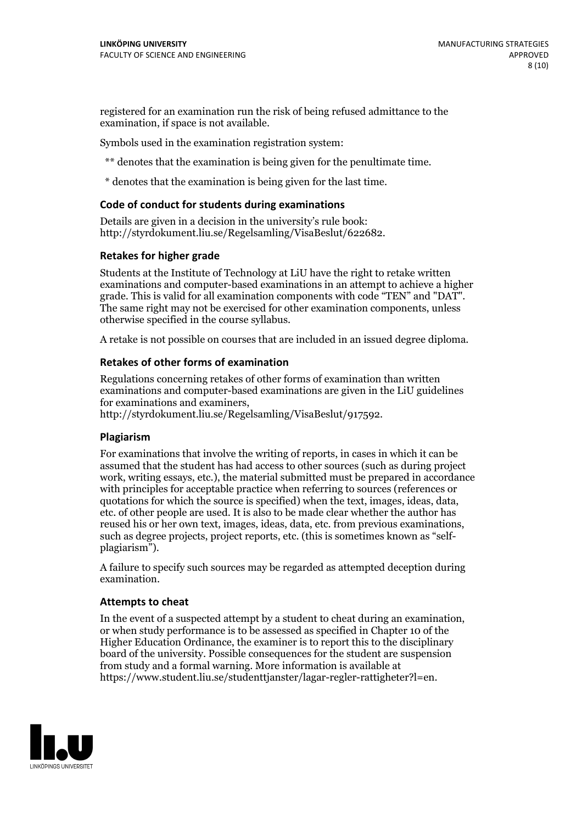registered for an examination run the risk of being refused admittance to the examination, if space is not available.

Symbols used in the examination registration system:

\*\* denotes that the examination is being given for the penultimate time.

\* denotes that the examination is being given for the last time.

#### **Code of conduct for students during examinations**

Details are given in a decision in the university's rule book: http://styrdokument.liu.se/Regelsamling/VisaBeslut/622682.

#### **Retakes for higher grade**

Students at the Institute of Technology at LiU have the right to retake written examinations and computer-based examinations in an attempt to achieve a higher grade. This is valid for all examination components with code "TEN" and "DAT". The same right may not be exercised for other examination components, unless otherwise specified in the course syllabus.

A retake is not possible on courses that are included in an issued degree diploma.

#### **Retakes of other forms of examination**

Regulations concerning retakes of other forms of examination than written examinations and computer-based examinations are given in the LiU guidelines

http://styrdokument.liu.se/Regelsamling/VisaBeslut/917592.

#### **Plagiarism**

For examinations that involve the writing of reports, in cases in which it can be assumed that the student has had access to other sources (such as during project work, writing essays, etc.), the material submitted must be prepared in accordance with principles for acceptable practice when referring to sources (references or quotations for which the source is specified) when the text, images, ideas, data,  $\vec{e}$  etc. of other people are used. It is also to be made clear whether the author has reused his or her own text, images, ideas, data, etc. from previous examinations, such as degree projects, project reports, etc. (this is sometimes known as "self- plagiarism").

A failure to specify such sources may be regarded as attempted deception during examination.

#### **Attempts to cheat**

In the event of <sup>a</sup> suspected attempt by <sup>a</sup> student to cheat during an examination, or when study performance is to be assessed as specified in Chapter <sup>10</sup> of the Higher Education Ordinance, the examiner is to report this to the disciplinary board of the university. Possible consequences for the student are suspension from study and a formal warning. More information is available at https://www.student.liu.se/studenttjanster/lagar-regler-rattigheter?l=en.

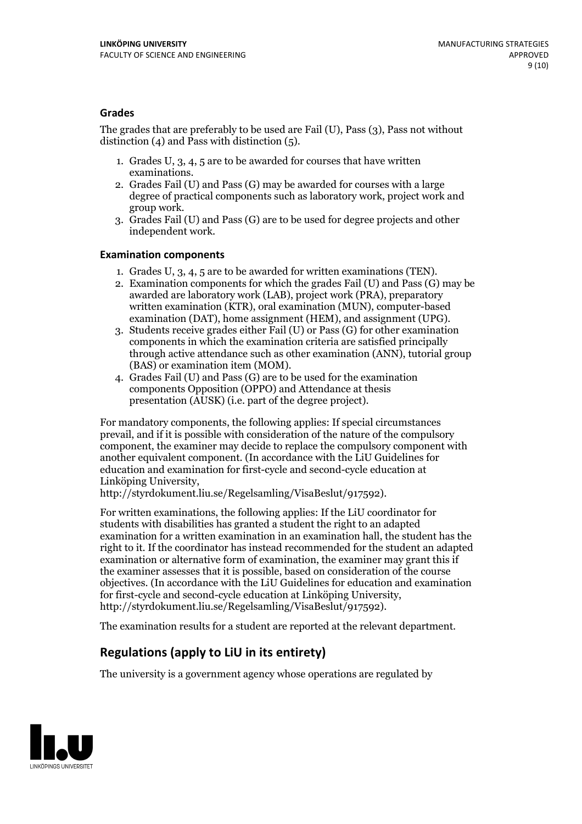### **Grades**

The grades that are preferably to be used are Fail (U), Pass (3), Pass not without distinction  $(4)$  and Pass with distinction  $(5)$ .

- 1. Grades U, 3, 4, 5 are to be awarded for courses that have written
- examinations. 2. Grades Fail (U) and Pass (G) may be awarded for courses with <sup>a</sup> large degree of practical components such as laboratory work, project work and group work. 3. Grades Fail (U) and Pass (G) are to be used for degree projects and other
- independent work.

#### **Examination components**

- 
- 1. Grades U, 3, 4, <sup>5</sup> are to be awarded for written examinations (TEN). 2. Examination components for which the grades Fail (U) and Pass (G) may be awarded are laboratory work (LAB), project work (PRA), preparatory written examination (KTR), oral examination (MUN), computer-based
- examination (DAT), home assignment (HEM), and assignment (UPG). 3. Students receive grades either Fail (U) or Pass (G) for other examination components in which the examination criteria are satisfied principally through active attendance such as other examination (ANN), tutorial group (BAS) or examination item (MOM). 4. Grades Fail (U) and Pass (G) are to be used for the examination
- components Opposition (OPPO) and Attendance at thesis presentation (AUSK) (i.e. part of the degree project).

For mandatory components, the following applies: If special circumstances prevail, and if it is possible with consideration of the nature of the compulsory component, the examiner may decide to replace the compulsory component with another equivalent component. (In accordance with the LiU Guidelines for education and examination for first-cycle and second-cycle education at Linköping University, http://styrdokument.liu.se/Regelsamling/VisaBeslut/917592).

For written examinations, the following applies: If the LiU coordinator for students with disabilities has granted a student the right to an adapted examination for a written examination in an examination hall, the student has the right to it. If the coordinator has instead recommended for the student an adapted examination or alternative form of examination, the examiner may grant this if the examiner assesses that it is possible, based on consideration of the course objectives. (In accordance with the LiU Guidelines for education and examination for first-cycle and second-cycle education at Linköping University, http://styrdokument.liu.se/Regelsamling/VisaBeslut/917592).

The examination results for a student are reported at the relevant department.

### **Regulations (applyto LiU in its entirety)**

The university is a government agency whose operations are regulated by